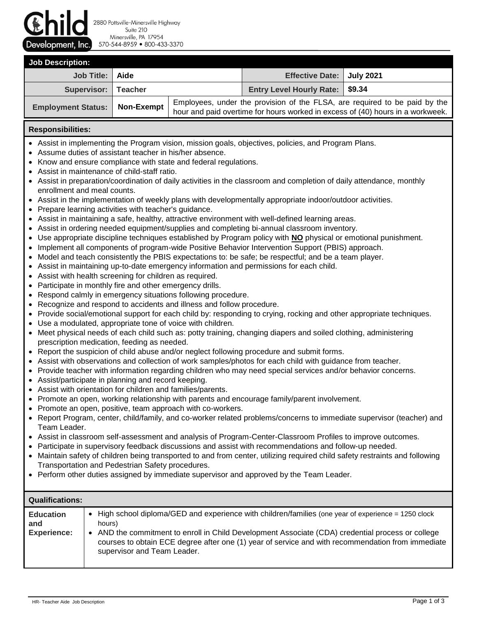

2880 Pottsville-Minersville Highway Suite 210 Minersville, PA 17954 570-544-8959 800-433-3370

| <b>Job Description:</b>                |                                                                                                                                                              |                                 |  |  |  |
|----------------------------------------|--------------------------------------------------------------------------------------------------------------------------------------------------------------|---------------------------------|--|--|--|
| Job Title: Aide                        |                                                                                                                                                              | Effective Date:   July 2021     |  |  |  |
| Supervisor: Teacher                    |                                                                                                                                                              | Entry Level Hourly Rate: \$9.34 |  |  |  |
| <b>Employment Status:   Non-Exempt</b> | Employees, under the provision of the FLSA, are required to be paid by the<br>hour and paid overtime for hours worked in excess of (40) hours in a workweek. |                                 |  |  |  |

## **Responsibilities:**

- Assist in implementing the Program vision, mission goals, objectives, policies, and Program Plans.
- Assume duties of assistant teacher in his/her absence.
- Know and ensure compliance with state and federal regulations.
- Assist in maintenance of child-staff ratio.
- Assist in preparation/coordination of daily activities in the classroom and completion of daily attendance, monthly enrollment and meal counts.
- Assist in the implementation of weekly plans with developmentally appropriate indoor/outdoor activities.
- Prepare learning activities with teacher's guidance.
- Assist in maintaining a safe, healthy, attractive environment with well-defined learning areas.
- Assist in ordering needed equipment/supplies and completing bi-annual classroom inventory.
- Use appropriate discipline techniques established by Program policy with **NO** physical or emotional punishment.
- Implement all components of program-wide Positive Behavior Intervention Support (PBIS) approach.
- Model and teach consistently the PBIS expectations to: be safe; be respectful; and be a team player.
- Assist in maintaining up-to-date emergency information and permissions for each child.
- Assist with health screening for children as required.
- Participate in monthly fire and other emergency drills.
- Respond calmly in emergency situations following procedure.
- Recognize and respond to accidents and illness and follow procedure.
- Provide social/emotional support for each child by: responding to crying, rocking and other appropriate techniques.
- Use a modulated, appropriate tone of voice with children.
- Meet physical needs of each child such as: potty training, changing diapers and soiled clothing, administering prescription medication, feeding as needed.
- Report the suspicion of child abuse and/or neglect following procedure and submit forms.
- Assist with observations and collection of work samples/photos for each child with guidance from teacher.
- Provide teacher with information regarding children who may need special services and/or behavior concerns.
- Assist/participate in planning and record keeping.
- Assist with orientation for children and families/parents.
- Promote an open, working relationship with parents and encourage family/parent involvement.
- Promote an open, positive, team approach with co-workers.
- Report Program, center, child/family, and co-worker related problems/concerns to immediate supervisor (teacher) and Team Leader.
- Assist in classroom self-assessment and analysis of Program-Center-Classroom Profiles to improve outcomes.
- Participate in supervisory feedback discussions and assist with recommendations and follow-up needed.
- Maintain safety of children being transported to and from center, utilizing required child safety restraints and following Transportation and Pedestrian Safety procedures.
- Perform other duties assigned by immediate supervisor and approved by the Team Leader.

| <b>Qualifications:</b>                        |                                                                                                                                                                                                                                                                                                                                                                    |
|-----------------------------------------------|--------------------------------------------------------------------------------------------------------------------------------------------------------------------------------------------------------------------------------------------------------------------------------------------------------------------------------------------------------------------|
| <b>Education</b><br>and<br><b>Experience:</b> | High school diploma/GED and experience with children/families (one year of experience = 1250 clock<br>$\bullet$<br>hours)<br>• AND the commitment to enroll in Child Development Associate (CDA) credential process or college<br>courses to obtain ECE degree after one (1) year of service and with recommendation from immediate<br>supervisor and Team Leader. |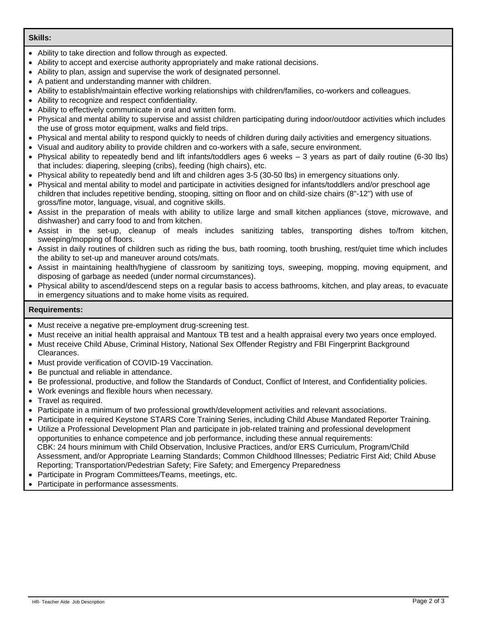## **Skills:**

- Ability to take direction and follow through as expected.
- Ability to accept and exercise authority appropriately and make rational decisions.
- Ability to plan, assign and supervise the work of designated personnel.
- A patient and understanding manner with children.
- Ability to establish/maintain effective working relationships with children/families, co-workers and colleagues.
- Ability to recognize and respect confidentiality.
- Ability to effectively communicate in oral and written form.
- Physical and mental ability to supervise and assist children participating during indoor/outdoor activities which includes the use of gross motor equipment, walks and field trips.
- Physical and mental ability to respond quickly to needs of children during daily activities and emergency situations.
- Visual and auditory ability to provide children and co-workers with a safe, secure environment.
- Physical ability to repeatedly bend and lift infants/toddlers ages 6 weeks 3 years as part of daily routine (6-30 lbs) that includes: diapering, sleeping (cribs), feeding (high chairs), etc.
- Physical ability to repeatedly bend and lift and children ages 3-5 (30-50 lbs) in emergency situations only.
- Physical and mental ability to model and participate in activities designed for infants/toddlers and/or preschool age children that includes repetitive bending, stooping, sitting on floor and on child-size chairs (8"-12") with use of gross/fine motor, language, visual, and cognitive skills.
- Assist in the preparation of meals with ability to utilize large and small kitchen appliances (stove, microwave, and dishwasher) and carry food to and from kitchen.
- Assist in the set-up, cleanup of meals includes sanitizing tables, transporting dishes to/from kitchen, sweeping/mopping of floors.
- Assist in daily routines of children such as riding the bus, bath rooming, tooth brushing, rest/quiet time which includes the ability to set-up and maneuver around cots/mats.
- Assist in maintaining health/hygiene of classroom by sanitizing toys, sweeping, mopping, moving equipment, and disposing of garbage as needed (under normal circumstances).
- Physical ability to ascend/descend steps on a regular basis to access bathrooms, kitchen, and play areas, to evacuate in emergency situations and to make home visits as required.

## **Requirements:**

- Must receive a negative pre-employment drug-screening test.
- Must receive an initial health appraisal and Mantoux TB test and a health appraisal every two years once employed.
- Must receive Child Abuse, Criminal History, National Sex Offender Registry and FBI Fingerprint Background Clearances.
- Must provide verification of COVID-19 Vaccination.
- Be punctual and reliable in attendance.
- Be professional, productive, and follow the Standards of Conduct, Conflict of Interest, and Confidentiality policies.
- Work evenings and flexible hours when necessary.
- Travel as required.
- Participate in a minimum of two professional growth/development activities and relevant associations.
- Participate in required Keystone STARS Core Training Series, including Child Abuse Mandated Reporter Training.
- Utilize a Professional Development Plan and participate in job-related training and professional development opportunities to enhance competence and job performance, including these annual requirements: CBK: 24 hours minimum with Child Observation, Inclusive Practices, and/or ERS Curriculum, Program/Child Assessment, and/or Appropriate Learning Standards; Common Childhood Illnesses; Pediatric First Aid; Child Abuse Reporting; Transportation/Pedestrian Safety; Fire Safety; and Emergency Preparedness
- Participate in Program Committees/Teams, meetings, etc.
- Participate in performance assessments.